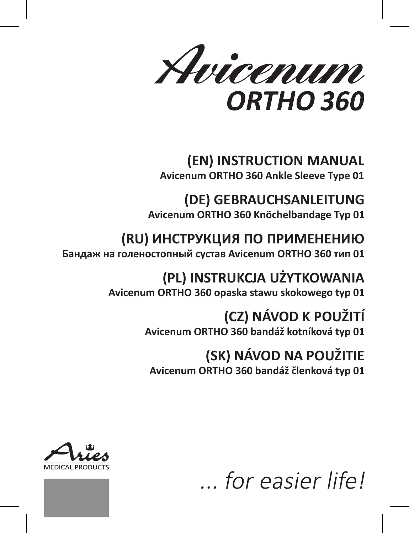Avicenum ORTHO 360

# **(EN) INSTRUCTION MANUAL**

**Avicenum ORTHO 360 Ankle Sleeve Type 01**

## **(DE) GEBRAUCHSANLEITUNG**

**Avicenum ORTHO 360 Knöchelbandage Typ 01**

## **(RU) ИНСТРУКЦИЯ ПО ПРИМЕНЕНИЮ**

**Бандаж на голеностопный сустав Avicenum ORTHO 360 тип 01**

**(PL) INSTRUKCJA UŻYTKOWANIA Avicenum ORTHO 360 opaska stawu skokowego typ 01**

# **(CZ) NÁVOD K POUŽITÍ**

**Avicenum ORTHO 360 bandáž kotníková typ 01**

## **(SK) NÁVOD NA POUŽITIE**

**Avicenum ORTHO 360 bandáž členková typ 01**



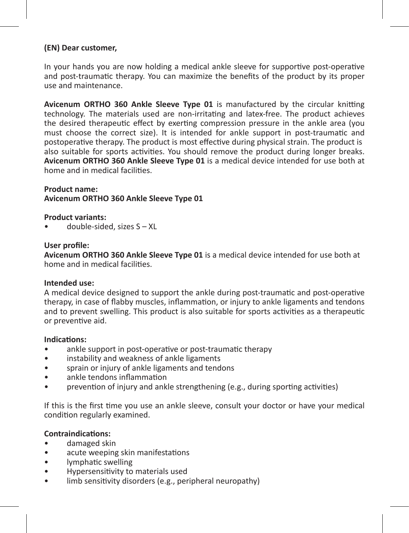#### **(EN) Dear customer,**

In your hands you are now holding a medical ankle sleeve for supportive post-operative and post-traumatic therapy. You can maximize the benefits of the product by its proper use and maintenance.

**Avicenum ORTHO 360 Ankle Sleeve Type 01** is manufactured by the circular knitting technology. The materials used are non-irritating and latex-free. The product achieves the desired therapeutic effect by exerting compression pressure in the ankle area (you must choose the correct size). It is intended for ankle support in post-traumatic and postoperative therapy. The product is most effective during physical strain. The product is also suitable for sports activities. You should remove the product during longer breaks. **Avicenum ORTHO 360 Ankle Sleeve Type 01** is a medical device intended for use both at home and in medical facilities.

## **Product name:**

**Avicenum ORTHO 360 Ankle Sleeve Type 01**

#### **Product variants:**

• double-sided, sizes S – XL

#### **User profile:**

**Avicenum ORTHO 360 Ankle Sleeve Type 01** is a medical device intended for use both at home and in medical facilities.

#### **Intended use:**

A medical device designed to support the ankle during post-traumatic and post-operative therapy, in case of flabby muscles, inflammation, or injury to ankle ligaments and tendons and to prevent swelling. This product is also suitable for sports activities as a therapeutic or preventive aid.

#### **Indications:**

- ankle support in post-operative or post-traumatic therapy
- instability and weakness of ankle ligaments
- sprain or injury of ankle ligaments and tendons
- ankle tendons inflammation
- prevention of injury and ankle strengthening (e.g., during sporting activities)

If this is the first time you use an ankle sleeve, consult your doctor or have your medical condition regularly examined.

## **Contraindications:**

- damaged skin
- acute weeping skin manifestations
- lymphatic swelling
- Hypersensitivity to materials used
- limb sensitivity disorders (e.g., peripheral neuropathy)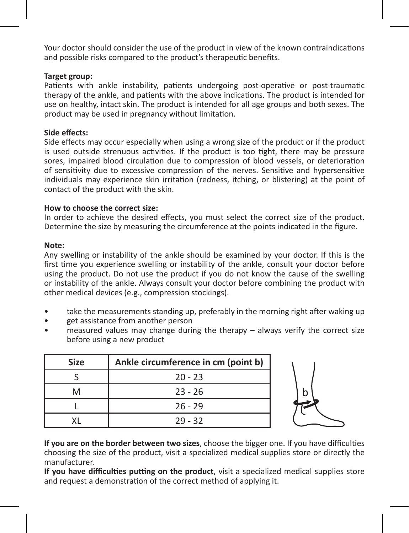Your doctor should consider the use of the product in view of the known contraindications and possible risks compared to the product's therapeutic benefits.

## **Target group:**

Patients with ankle instability, patients undergoing post-operative or post-traumatic therapy of the ankle, and patients with the above indications. The product is intended for use on healthy, intact skin. The product is intended for all age groups and both sexes. The product may be used in pregnancy without limitation.

#### **Side effects:**

Side effects may occur especially when using a wrong size of the product or if the product is used outside strenuous activities. If the product is too tight, there may be pressure sores, impaired blood circulation due to compression of blood vessels, or deterioration of sensitivity due to excessive compression of the nerves. Sensitive and hypersensitive individuals may experience skin irritation (redness, itching, or blistering) at the point of contact of the product with the skin.

## **How to choose the correct size:**

In order to achieve the desired effects, you must select the correct size of the product. Determine the size by measuring the circumference at the points indicated in the figure.

#### **Note:**

Any swelling or instability of the ankle should be examined by your doctor. If this is the first time you experience swelling or instability of the ankle, consult your doctor before using the product. Do not use the product if you do not know the cause of the swelling or instability of the ankle. Always consult your doctor before combining the product with other medical devices (e.g., compression stockings).

- take the measurements standing up, preferably in the morning right after waking up
- get assistance from another person
- measured values may change during the therapy always verify the correct size before using a new product

| <b>Size</b> | Ankle circumference in cm (point b) |
|-------------|-------------------------------------|
|             | $20 - 23$                           |
| м           | $23 - 26$                           |
|             | $26 - 29$                           |
|             | $29 - 32$                           |



**If you are on the border between two sizes**, choose the bigger one. If you have difficulties choosing the size of the product, visit a specialized medical supplies store or directly the manufacturer.

**If you have difficulties putting on the product**, visit a specialized medical supplies store and request a demonstration of the correct method of applying it.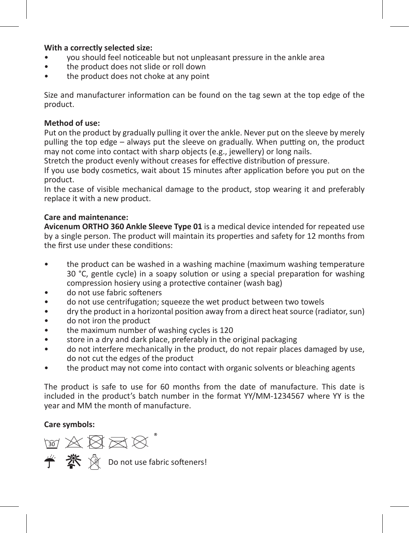#### **With a correctly selected size:**

- you should feel noticeable but not unpleasant pressure in the ankle area
- the product does not slide or roll down
- the product does not choke at any point

Size and manufacturer information can be found on the tag sewn at the top edge of the product.

#### **Method of use:**

Put on the product by gradually pulling it over the ankle. Never put on the sleeve by merely pulling the top edge – always put the sleeve on gradually. When putting on, the product may not come into contact with sharp objects (e.g., jewellery) or long nails.

Stretch the product evenly without creases for effective distribution of pressure.

If you use body cosmetics, wait about 15 minutes after application before you put on the product.

In the case of visible mechanical damage to the product, stop wearing it and preferably replace it with a new product.

#### **Care and maintenance:**

**Avicenum ORTHO 360 Ankle Sleeve Type 01** is a medical device intended for repeated use by a single person. The product will maintain its properties and safety for 12 months from the first use under these conditions:

- the product can be washed in a washing machine (maximum washing temperature 30 °C, gentle cycle) in a soapy solution or using a special preparation for washing compression hosiery using a protective container (wash bag)
- do not use fabric softeners
- do not use centrifugation; squeeze the wet product between two towels
- dry the product in a horizontal position away from a direct heat source (radiator, sun)
- do not iron the product
- the maximum number of washing cycles is 120
- store in a dry and dark place, preferably in the original packaging
- do not interfere mechanically in the product, do not repair places damaged by use, do not cut the edges of the product
- the product may not come into contact with organic solvents or bleaching agents

The product is safe to use for 60 months from the date of manufacture. This date is included in the product's batch number in the format YY/MM-1234567 where YY is the year and MM the month of manufacture.

#### **Care symbols:**

™ ※ 図 ⊠ ☆ **学 茶** ☆ Do not use fabric softeners!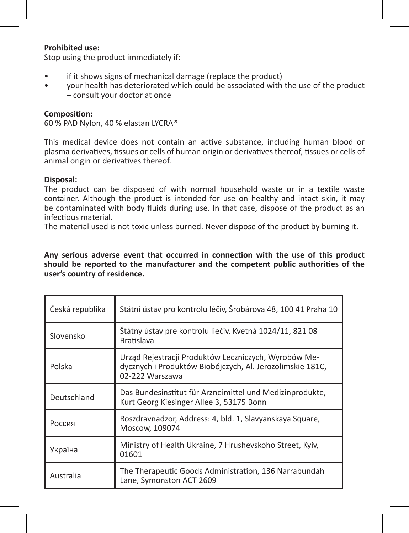#### **Prohibited use:**

Stop using the product immediately if:

- if it shows signs of mechanical damage (replace the product)
- your health has deteriorated which could be associated with the use of the product – consult your doctor at once

#### **Composition:**

60 % PAD Nylon, 40 % elastan LYCRA®

This medical device does not contain an active substance, including human blood or plasma derivatives, tissues or cells of human origin or derivatives thereof, tissues or cells of animal origin or derivatives thereof.

#### **Disposal:**

The product can be disposed of with normal household waste or in a textile waste container. Although the product is intended for use on healthy and intact skin, it may be contaminated with body fluids during use. In that case, dispose of the product as an infectious material.

The material used is not toxic unless burned. Never dispose of the product by burning it.

**Any serious adverse event that occurred in connection with the use of this product should be reported to the manufacturer and the competent public authorities of the user's country of residence.** 

| Česká republika | Státní ústav pro kontrolu léčiv, Šrobárova 48, 100 41 Praha 10                                                                       |
|-----------------|--------------------------------------------------------------------------------------------------------------------------------------|
| Slovensko       | Štátny ústav pre kontrolu liečiv, Kvetná 1024/11, 821 08<br><b>Bratislava</b>                                                        |
| Polska          | Urząd Rejestracji Produktów Leczniczych, Wyrobów Me-<br>dycznych i Produktów Biobójczych, Al. Jerozolimskie 181C,<br>02-222 Warszawa |
| Deutschland     | Das Bundesinstitut für Arzneimittel und Medizinprodukte,<br>Kurt Georg Kiesinger Allee 3, 53175 Bonn                                 |
| Россия          | Roszdravnadzor, Address: 4, bld. 1, Slavyanskaya Square,<br>Moscow, 109074                                                           |
| Україна         | Ministry of Health Ukraine, 7 Hrushevskoho Street, Kyiv,<br>01601                                                                    |
| Australia       | The Therapeutic Goods Administration, 136 Narrabundah<br>Lane, Symonston ACT 2609                                                    |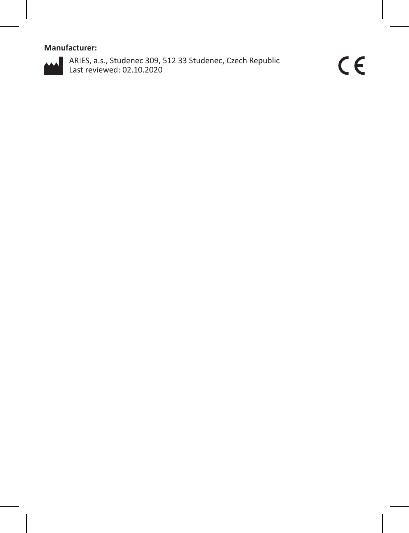## **Manufacturer:**



ARIES, a.s., Studenec 309, 512 33 Studenec, Czech Republic Last reviewed: 02.10.2020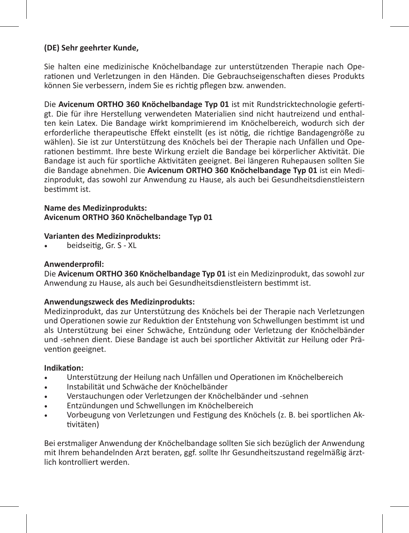## **(DE) Sehr geehrter Kunde,**

Sie halten eine medizinische Knöchelbandage zur unterstützenden Therapie nach Operationen und Verletzungen in den Händen. Die Gebrauchseigenschaften dieses Produkts können Sie verbessern, indem Sie es richtig pflegen bzw. anwenden.

Die **Avicenum ORTHO 360 Knöchelbandage Typ 01** ist mit Rundstricktechnologie gefertigt. Die für ihre Herstellung verwendeten Materialien sind nicht hautreizend und enthalten kein Latex. Die Bandage wirkt komprimierend im Knöchelbereich, wodurch sich der erforderliche therapeutische Effekt einstellt (es ist nötig, die richtige Bandagengröße zu wählen). Sie ist zur Unterstützung des Knöchels bei der Therapie nach Unfällen und Operationen bestimmt. Ihre beste Wirkung erzielt die Bandage bei körperlicher Aktivität. Die Bandage ist auch für sportliche Aktivitäten geeignet. Bei längeren Ruhepausen sollten Sie die Bandage abnehmen. Die **Avicenum ORTHO 360 Knöchelbandage Typ 01** ist ein Medizinprodukt, das sowohl zur Anwendung zu Hause, als auch bei Gesundheitsdienstleistern bestimmt ist.

### **Name des Medizinprodukts: Avicenum ORTHO 360 Knöchelbandage Typ 01**

## **Varianten des Medizinprodukts:**

beidseitig, Gr. S - XL

#### **Anwenderprofil:**

Die **Avicenum ORTHO 360 Knöchelbandage Typ 01** ist ein Medizinprodukt, das sowohl zur Anwendung zu Hause, als auch bei Gesundheitsdienstleistern bestimmt ist.

### **Anwendungszweck des Medizinprodukts:**

Medizinprodukt, das zur Unterstützung des Knöchels bei der Therapie nach Verletzungen und Operationen sowie zur Reduktion der Entstehung von Schwellungen bestimmt ist und als Unterstützung bei einer Schwäche, Entzündung oder Verletzung der Knöchelbänder und -sehnen dient. Diese Bandage ist auch bei sportlicher Aktivität zur Heilung oder Prävention geeignet.

#### **Indikation:**

- Unterstützung der Heilung nach Unfällen und Operationen im Knöchelbereich
- Instabilität und Schwäche der Knöchelbänder
- Verstauchungen oder Verletzungen der Knöchelbänder und -sehnen
- Entzündungen und Schwellungen im Knöchelbereich
- Vorbeugung von Verletzungen und Festigung des Knöchels (z. B. bei sportlichen Aktivitäten)

Bei erstmaliger Anwendung der Knöchelbandage sollten Sie sich bezüglich der Anwendung mit Ihrem behandelnden Arzt beraten, ggf. sollte Ihr Gesundheitszustand regelmäßig ärztlich kontrolliert werden.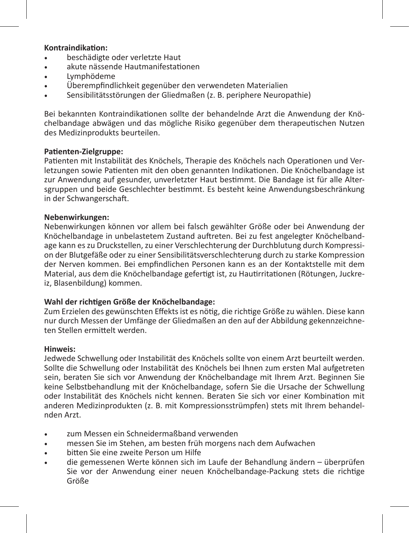#### **Kontraindikation:**

- beschädigte oder verletzte Haut
- akute nässende Hautmanifestationen
- Lymphödeme
- Überempfindlichkeit gegenüber den verwendeten Materialien
- Sensibilitätsstörungen der Gliedmaßen (z. B. periphere Neuropathie)

Bei bekannten Kontraindikationen sollte der behandelnde Arzt die Anwendung der Knöchelbandage abwägen und das mögliche Risiko gegenüber dem therapeutischen Nutzen des Medizinprodukts beurteilen.

#### **Patienten-Zielgruppe:**

Patienten mit Instabilität des Knöchels, Therapie des Knöchels nach Operationen und Verletzungen sowie Patienten mit den oben genannten Indikationen. Die Knöchelbandage ist zur Anwendung auf gesunder, unverletzter Haut bestimmt. Die Bandage ist für alle Altersgruppen und beide Geschlechter bestimmt. Es besteht keine Anwendungsbeschränkung in der Schwangerschaft.

#### **Nebenwirkungen:**

Nebenwirkungen können vor allem bei falsch gewählter Größe oder bei Anwendung der Knöchelbandage in unbelastetem Zustand auftreten. Bei zu fest angelegter Knöchelbandage kann es zu Druckstellen, zu einer Verschlechterung der Durchblutung durch Kompression der Blutgefäße oder zu einer Sensibilitätsverschlechterung durch zu starke Kompression der Nerven kommen. Bei empfindlichen Personen kann es an der Kontaktstelle mit dem Material, aus dem die Knöchelbandage gefertigt ist, zu Hautirritationen (Rötungen, Juckreiz, Blasenbildung) kommen.

#### **Wahl der richtigen Größe der Knöchelbandage:**

Zum Erzielen des gewünschten Effekts ist es nötig, die richtige Größe zu wählen. Diese kann nur durch Messen der Umfänge der Gliedmaßen an den auf der Abbildung gekennzeichneten Stellen ermittelt werden.

#### **Hinweis:**

Jedwede Schwellung oder Instabilität des Knöchels sollte von einem Arzt beurteilt werden. Sollte die Schwellung oder Instabilität des Knöchels bei Ihnen zum ersten Mal aufgetreten sein, beraten Sie sich vor Anwendung der Knöchelbandage mit Ihrem Arzt. Beginnen Sie keine Selbstbehandlung mit der Knöchelbandage, sofern Sie die Ursache der Schwellung oder Instabilität des Knöchels nicht kennen. Beraten Sie sich vor einer Kombination mit anderen Medizinprodukten (z. B. mit Kompressionsstrümpfen) stets mit Ihrem behandelnden Arzt.

- zum Messen ein Schneidermaßband verwenden
- messen Sie im Stehen, am besten früh morgens nach dem Aufwachen
- bitten Sie eine zweite Person um Hilfe
- die gemessenen Werte können sich im Laufe der Behandlung ändern überprüfen Sie vor der Anwendung einer neuen Knöchelbandage-Packung stets die richtige Größe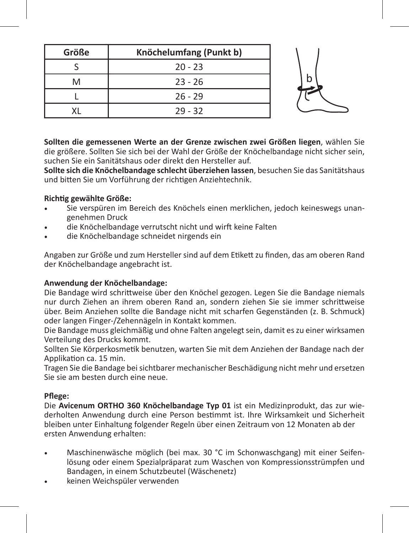| Größe | Knöchelumfang (Punkt b) |  |
|-------|-------------------------|--|
|       | $20 - 23$               |  |
|       | $23 - 26$               |  |
|       | $26 - 29$               |  |
|       | $29 - 32$               |  |

**Sollten die gemessenen Werte an der Grenze zwischen zwei Größen liegen**, wählen Sie die größere. Sollten Sie sich bei der Wahl der Größe der Knöchelbandage nicht sicher sein, suchen Sie ein Sanitätshaus oder direkt den Hersteller auf.

**Sollte sich die Knöchelbandage schlecht überziehen lassen**, besuchen Sie das Sanitätshaus und bitten Sie um Vorführung der richtigen Anziehtechnik.

## **Richtig gewählte Größe:**

- Sie verspüren im Bereich des Knöchels einen merklichen, jedoch keineswegs unangenehmen Druck
- die Knöchelbandage verrutscht nicht und wirft keine Falten
- die Knöchelbandage schneidet nirgends ein

Angaben zur Größe und zum Hersteller sind auf dem Etikett zu finden, das am oberen Rand der Knöchelbandage angebracht ist.

#### **Anwendung der Knöchelbandage:**

Die Bandage wird schrittweise über den Knöchel gezogen. Legen Sie die Bandage niemals nur durch Ziehen an ihrem oberen Rand an, sondern ziehen Sie sie immer schrittweise über. Beim Anziehen sollte die Bandage nicht mit scharfen Gegenständen (z. B. Schmuck) oder langen Finger-/Zehennägeln in Kontakt kommen.

Die Bandage muss gleichmäßig und ohne Falten angelegt sein, damit es zu einer wirksamen Verteilung des Drucks kommt.

Sollten Sie Körperkosmetik benutzen, warten Sie mit dem Anziehen der Bandage nach der Applikation ca. 15 min.

Tragen Sie die Bandage bei sichtbarer mechanischer Beschädigung nicht mehr und ersetzen Sie sie am besten durch eine neue.

## **Pflege:**

Die **Avicenum ORTHO 360 Knöchelbandage Typ 01** ist ein Medizinprodukt, das zur wiederholten Anwendung durch eine Person bestimmt ist. Ihre Wirksamkeit und Sicherheit bleiben unter Einhaltung folgender Regeln über einen Zeitraum von 12 Monaten ab der ersten Anwendung erhalten:

- Maschinenwäsche möglich (bei max. 30 °C im Schonwaschgang) mit einer Seifenlösung oder einem Spezialpräparat zum Waschen von Kompressionsstrümpfen und Bandagen, in einem Schutzbeutel (Wäschenetz)
- keinen Weichspüler verwenden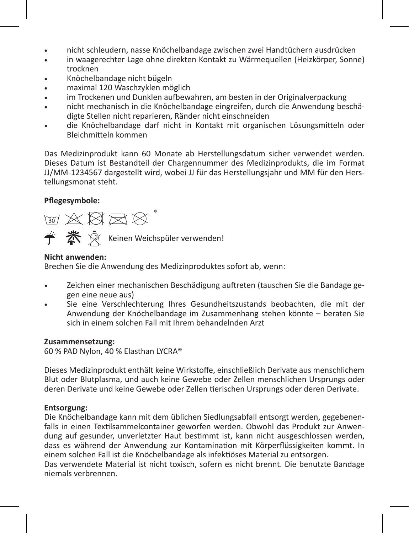- • nicht schleudern, nasse Knöchelbandage zwischen zwei Handtüchern ausdrücken
- in waagerechter Lage ohne direkten Kontakt zu Wärmequellen (Heizkörper, Sonne) trocknen
- Knöchelbandage nicht bügeln
- maximal 120 Waschzyklen möglich
- im Trockenen und Dunklen aufbewahren, am besten in der Originalverpackung
- nicht mechanisch in die Knöchelbandage eingreifen, durch die Anwendung beschädigte Stellen nicht reparieren, Ränder nicht einschneiden
- die Knöchelbandage darf nicht in Kontakt mit organischen Lösungsmitteln oder Bleichmitteln kommen

Das Medizinprodukt kann 60 Monate ab Herstellungsdatum sicher verwendet werden. Dieses Datum ist Bestandteil der Chargennummer des Medizinprodukts, die im Format JJ/MM-1234567 dargestellt wird, wobei JJ für das Herstellungsjahr und MM für den Herstellungsmonat steht.

## **Pflegesymbole:**

 $\text{W X B} \boxtimes \text{V}^*$ Keinen Weichspüler verwenden!

## **Nicht anwenden:**

Brechen Sie die Anwendung des Medizinproduktes sofort ab, wenn:

- Zeichen einer mechanischen Beschädigung auftreten (tauschen Sie die Bandage gegen eine neue aus)
- Sie eine Verschlechterung Ihres Gesundheitszustands beobachten, die mit der Anwendung der Knöchelbandage im Zusammenhang stehen könnte – beraten Sie sich in einem solchen Fall mit Ihrem behandelnden Arzt

## **Zusammensetzung:**

60 % PAD Nylon, 40 % Elasthan LYCRA®

Dieses Medizinprodukt enthält keine Wirkstoffe, einschließlich Derivate aus menschlichem Blut oder Blutplasma, und auch keine Gewebe oder Zellen menschlichen Ursprungs oder deren Derivate und keine Gewebe oder Zellen tierischen Ursprungs oder deren Derivate.

## **Entsorgung:**

Die Knöchelbandage kann mit dem üblichen Siedlungsabfall entsorgt werden, gegebenenfalls in einen Textilsammelcontainer geworfen werden. Obwohl das Produkt zur Anwendung auf gesunder, unverletzter Haut bestimmt ist, kann nicht ausgeschlossen werden, dass es während der Anwendung zur Kontamination mit Körperflüssigkeiten kommt. In einem solchen Fall ist die Knöchelbandage als infektiöses Material zu entsorgen. Das verwendete Material ist nicht toxisch, sofern es nicht brennt. Die benutzte Bandage

niemals verbrennen.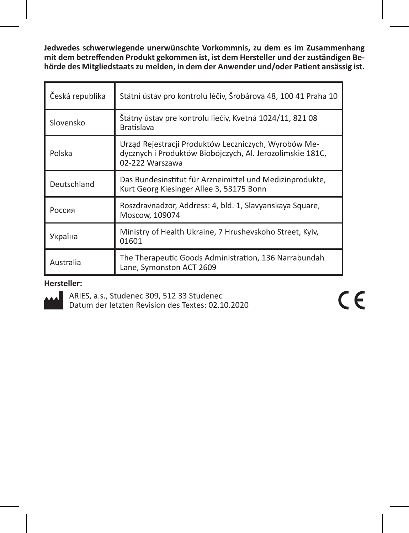**Jedwedes schwerwiegende unerwünschte Vorkommnis, zu dem es im Zusammenhang mit dem betreffenden Produkt gekommen ist, ist dem Hersteller und der zuständigen Behörde des Mitgliedstaats zu melden, in dem der Anwender und/oder Patient ansässig ist.** 

| Česká republika | Státní ústav pro kontrolu léčiv, Šrobárova 48, 100 41 Praha 10                                                                       |
|-----------------|--------------------------------------------------------------------------------------------------------------------------------------|
| Slovensko       | Štátny ústav pre kontrolu liečiv, Kvetná 1024/11, 821 08<br><b>Bratislava</b>                                                        |
| Polska          | Urząd Rejestracji Produktów Leczniczych, Wyrobów Me-<br>dycznych i Produktów Biobójczych, Al. Jerozolimskie 181C,<br>02-222 Warszawa |
| Deutschland     | Das Bundesinstitut für Arzneimittel und Medizinprodukte,<br>Kurt Georg Kiesinger Allee 3, 53175 Bonn                                 |
| Россия          | Roszdravnadzor, Address: 4, bld. 1, Slavyanskaya Square,<br>Moscow, 109074                                                           |
| Україна         | Ministry of Health Ukraine, 7 Hrushevskoho Street, Kyiv,<br>01601                                                                    |
| Australia       | The Therapeutic Goods Administration, 136 Narrabundah<br>Lane, Symonston ACT 2609                                                    |

## **Hersteller:**

ARIES, a.s., Studenec 309, 512 33 Studenec Datum der letzten Revision des Textes: 02.10.2020  $C \in$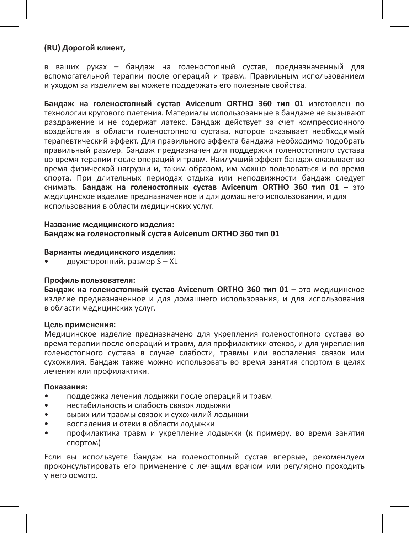#### **(RU) Дорогой клиент,**

в ваших руках – бандаж на голеностопный сустав, предназначенный для вспомогательной терапии после операций и травм. Правильным использованием и уходом за изделием вы можете поддержать его полезные свойства.

**Бандаж на голеностопный сустав Avicenum ORTHO 360 тип 01** изготовлен по технологии кругового плетения. Материалы использованные в бандаже не вызывают раздражение и не содержат латекс. Бандаж действует за счет компрессионного воздействия в области голеностопного сустава, которое оказывает необходимый терапевтический эффект. Для правильного эффекта бандажа необходимо подобрать правильный размер. Бандаж предназначен для поддержки голеностопного сустава во время терапии после операций и травм. Наилучший эффект бандаж оказывает во время физической нагрузки и, таким образом, им можно пользоваться и во время спорта. При длительных периодах отдыха или неподвижности бандаж следует снимать. **Бандаж на голеностопныx сустав Avicenum ORTHO 360 тип 01** – это медицинское изделие предназначенное и для домашнего использования, и для использования в области медицинских услуг.

#### **Название медицинского изделия: Бандаж на голеностопный сустав Avicenum ORTHO 360 тип 01**

#### **Варианты медицинского изделия:**

• двухсторонний, размер S – XL

#### **Профиль пользователя:**

**Бандаж на голеностопный сустав Avicenum ORTHO 360 тип 01** – это медицинское изделие предназначенное и для домашнего использования, и для использования в области медицинских услуг.

#### **Цель применения:**

Медицинское изделие предназначено для укрепления голеностопного сустава во время терапии после операций и травм, для профилактики отеков, и для укрепления голеностопного сустава в случае слабости, травмы или воспаления связок или сухожилия. Бандаж также можно использовать во время занятия спортом в целях лечения или профилактики.

#### **Показания:**

- поддержка лечения лодыжки после операций и травм
- нестабильность и слабость связок лодыжки
- вывих или травмы связок и сухожилий лодыжки
- воспаления и отеки в области лодыжки
- профилактика травм и укрепление лодыжки (к примеру, во время занятия спортом)

Если вы используете бандаж на голеностопный сустав впервые, рекомендуем проконсультировать его применение с лечащим врачом или регулярно проходить у него осмотр.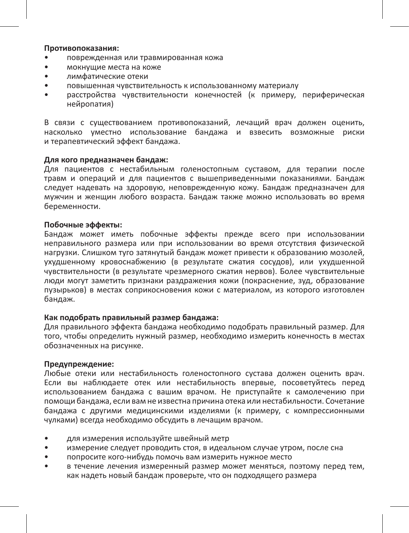#### **Противопоказания:**

- поврежденная или травмированная кожа
- мокнущие места на коже
- лимфатические отеки
- повышенная чувствительность к использованному материалу
- расстройства чувствительности конечностей (к примеру, периферическая нейропатия)

В связи с существованием противопоказаний, лечащий врач должен оценить, насколько уместно использование бандажа и взвесить возможные риски и терапевтический эффект бандажа.

#### **Для кого предназначен бандаж:**

Для пациентов с нестабильным голеностопным суставом, для терапии после травм и операций и для пациентов с вышеприведенными показаниями. Бандаж следует надевать на здоровую, неповрежденную кожу. Бандаж предназначен для мужчин и женщин любого возраста. Бандаж также можно использовать во время беременности.

#### **Побочные эффекты:**

Бандаж может иметь побочные эффекты прежде всего при использовании неправильного размера или при использовании во время отсутствия физической нагрузки. Слишком туго затянутый бандаж может привести к образованию мозолей, ухудшенному кровоснабжению (в результате сжатия сосудов), или ухудшенной чувствительности (в результате чрезмерного сжатия нервов). Более чувствительные люди могут заметить признаки раздражения кожи (покраснение, зуд, образование пузырьков) в местах соприкосновения кожи с материалом, из которого изготовлен бандаж.

#### **Как подобрать правильный размер бандажа:**

Для правильного эффекта бандажа необходимо подобрать правильный размер. Для того, чтобы определить нужный размер, необходимо измерить конечность в местах обозначенных на рисунке.

#### **Предупреждение:**

Любые отеки или нестабильность голеностопного сустава должен оценить врач. Если вы наблюдаете отек или нестабильность впервые, посоветуйтесь перед использованием бандажа с вашим врачом. Не приступайте к самолечению при помощи бандажа, если вам не известна причина отека или нестабильности. Сочетание бандажа с другими медицинскими изделиями (к примеру, с компрессионными чулками) всегда необходимо обсудить в лечащим врачом.

- для измерения используйте швейный метр
- измерение следует проводить стоя, в идеальном случае утром, после сна
- попросите кого-нибудь помочь вам измерить нужное место
- в течение лечения измеренный размер может меняться, поэтому перед тем, как надеть новый бандаж проверьте, что он подходящего размера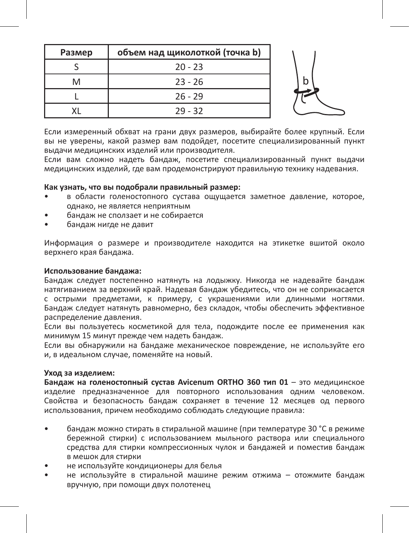| Размер | объем над щиколоткой (точка b) |   |
|--------|--------------------------------|---|
|        | $20 - 23$                      |   |
|        | $23 - 26$                      | b |
|        | $26 - 29$                      |   |
|        | $29 - 32$                      |   |

Если измеренный обхват на грани двух размеров, выбирайте более крупный. Если вы не уверены, какой размер вам подойдет, посетите специализированный пункт выдачи медицинских изделий или производителя.

Если вам сложно надеть бандаж, посетите специализированный пункт выдачи медицинских изделий, где вам продемонстрируют правильную технику надевания.

#### **Как узнать, что вы подобрали правильный размер:**

- в области голеностопного сустава ощущается заметное давление, которое, однако, не является неприятным
- бандаж не сползает и не собирается
- бандаж нигде не давит

Информация о размере и производителе находится на этикетке вшитой около верхнего края бандажа.

#### **Использование бандажа:**

Бандаж следует постепенно натянуть на лодыжку. Никогда не надевайте бандаж натягиванием за верхний край. Надевая бандаж убедитесь, что он не соприкасается с острыми предметами, к примеру, с украшениями или длинными ногтями. Бандаж следует натянуть равномерно, без складок, чтобы обеспечить эффективное распределение давления.

Если вы пользуетесь косметикой для тела, подождите после ее применения как минимум 15 минут прежде чем надеть бандаж.

Если вы обнаружили на бандаже механическое повреждение, не используйте его и, в идеальном случае, поменяйте на новый.

#### **Уход за изделием:**

**Бандаж на голеностопный сустав Avicenum ORTHO 360 тип 01** – это медицинское изделие предназначенное для повторного использования одним человеком. Свойства и безопасность бандаж сохраняет в течение 12 месяцев од первого использования, причем необходимо соблюдать следующие правила:

- бандаж можно стирать в стиральной машине (при температуре 30 °С в режиме бережной стирки) с использованием мыльного раствора или специального средства для стирки компрессионных чулок и бандажей и поместив бандаж в мешок для стирки
- не используйте кондиционеры для белья
- не используйте в стиральной машине режим отжима отожмите бандаж вручную, при помощи двух полотенец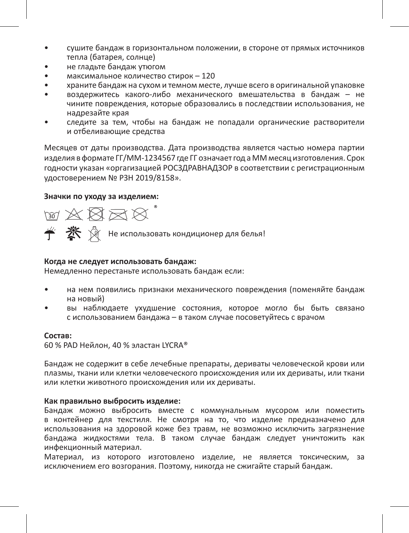- сушите бандаж в горизонтальном положении, в стороне от прямых источников тепла (батарея, солнце)
- не гладьте бандаж утюгом
- максимальное количество стирок 120
- храните бандаж на сухом и темном месте, лучше всего в оригинальной упаковке
- воздержитесь какого-либо механического вмешательства в бандаж не чините повреждения, которые образовались в последствии использования, не надрезайте края
- следите за тем, чтобы на бандаж не попадали органические растворители и отбеливающие средства

Месяцев от даты производства. Дата производства является частью номера партии изделия в формате ГГ/ММ-1234567 где ГГ означает год а ММ месяц изготовления. Срок годности указан «оргагизацией РОСЗДРАВНАДЗОР в соответствии с регистрационным удостоверением № РЗН 2019/8158».

#### **Значки по уходу за изделием:**

™☆☆☆☆  $\stackrel{\text{\tiny def}}{\leftarrow} \stackrel{\text{\tiny def}}{\llsim} \; \stackrel{\text{\tiny def}}{\llsim} \;$  Не использовать кондиционер для белья!

### **Когда не следует использовать бандаж:**

Немедленно перестаньте использовать бандаж если:

- на нем появились признаки механического повреждения (поменяйте бандаж на новый)
- вы наблюдаете ухудшение состояния, которое могло бы быть связано с использованием бандажа – в таком случае посоветуйтесь с врачом

#### **Состав:**

60 % PAD Нейлон, 40 % эластан LYCRA®

Бандаж не содержит в себе лечебные препараты, дериваты человеческой крови или плазмы, ткани или клетки человеческого происхождения или их дериваты, или ткани или клетки животного происхождения или их дериваты.

#### **Как правильно выбросить изделие:**

Бандаж можно выбросить вместе с коммунальным мусором или поместить в контейнер для текстиля. Не смотря на то, что изделие предназначено для использования на здоровой коже без травм, не возможно исключить загрязнение бандажа жидкостями тела. В таком случае бандаж следует уничтожить как инфекционный материал.

Материал, из которого изготовлено изделие, не является токсическим, за исключением его возгорания. Поэтому, никогда не сжигайте старый бандаж.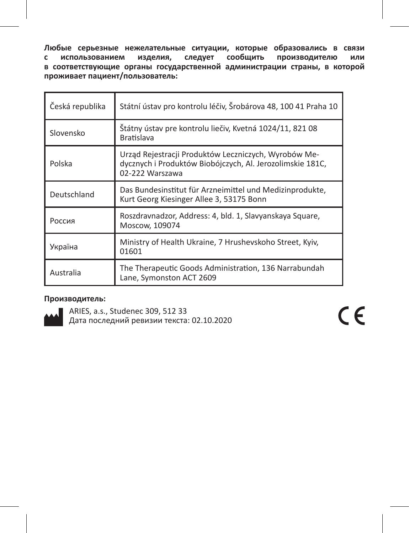**Любые серьезные нежелательные ситуации, которые образовались в связи**  следует сообщить **в соответствующие органы государственной администрации страны, в которой проживает пациент/пользователь:**

| Česká republika | Státní ústav pro kontrolu léčiv, Šrobárova 48, 100 41 Praha 10                                                                       |
|-----------------|--------------------------------------------------------------------------------------------------------------------------------------|
| Slovensko       | Štátny ústav pre kontrolu liečiv, Kvetná 1024/11, 821 08<br><b>Bratislava</b>                                                        |
| Polska          | Urząd Rejestracji Produktów Leczniczych, Wyrobów Me-<br>dycznych i Produktów Biobójczych, Al. Jerozolimskie 181C,<br>02-222 Warszawa |
| Deutschland     | Das Bundesinstitut für Arzneimittel und Medizinprodukte,<br>Kurt Georg Kiesinger Allee 3, 53175 Bonn                                 |
| Россия          | Roszdravnadzor, Address: 4, bld. 1, Slavyanskaya Square,<br>Moscow, 109074                                                           |
| Україна         | Ministry of Health Ukraine, 7 Hrushevskoho Street, Kyiv,<br>01601                                                                    |
| Australia       | The Therapeutic Goods Administration, 136 Narrabundah<br>Lane, Symonston ACT 2609                                                    |

### **Производитель:**



ARIES, a.s., Studenec 309, 512 33 Дата последний ревизии текста: 02.10.2020  $C \in$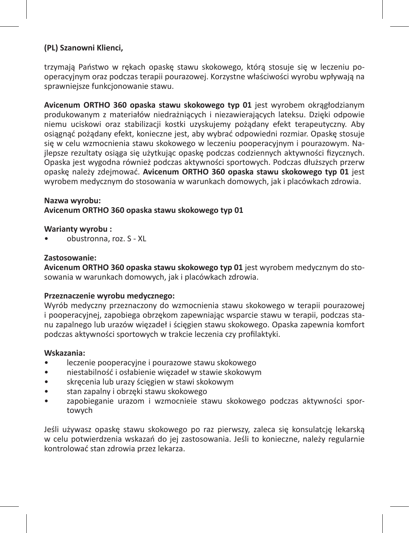## **(PL) Szanowni Klienci,**

trzymają Państwo w rękach opaskę stawu skokowego, którą stosuje się w leczeniu pooperacyjnym oraz podczas terapii pourazowej. Korzystne właściwości wyrobu wpływają na sprawniejsze funkcjonowanie stawu.

**Avicenum ORTHO 360 opaska stawu skokowego typ 01** jest wyrobem okrągłodzianym produkowanym z materiałów niedrażniących i niezawierających lateksu. Dzięki odpowie niemu uciskowi oraz stabilizacji kostki uzyskujemy pożądany efekt terapeutyczny. Aby osiągnąć pożądany efekt, konieczne jest, aby wybrać odpowiedni rozmiar. Opaskę stosuje się w celu wzmocnienia stawu skokowego w leczeniu pooperacyjnym i pourazowym. Najlepsze rezultaty osiąga się użytkując opaskę podczas codziennych aktywności fizycznych. Opaska jest wygodna również podczas aktywności sportowych. Podczas dłuższych przerw opaskę należy zdejmować. **Avicenum ORTHO 360 opaska stawu skokowego typ 01** jest wyrobem medycznym do stosowania w warunkach domowych, jak i placówkach zdrowia.

#### **Nazwa wyrobu:**

#### **Avicenum ORTHO 360 opaska stawu skokowego typ 01**

#### **Warianty wyrobu :**

• obustronna, roz. S - XL

#### **Zastosowanie:**

**Avicenum ORTHO 360 opaska stawu skokowego typ 01** jest wyrobem medycznym do stosowania w warunkach domowych, jak i placówkach zdrowia.

#### **Przeznaczenie wyrobu medycznego:**

Wyrób medyczny przeznaczony do wzmocnienia stawu skokowego w terapii pourazowej i pooperacyjnej, zapobiega obrzękom zapewniając wsparcie stawu w terapii, podczas stanu zapalnego lub urazów więzadeł i ścięgien stawu skokowego. Opaska zapewnia komfort podczas aktywności sportowych w trakcie leczenia czy profilaktyki.

#### **Wskazania:**

- leczenie pooperacyjne i pourazowe stawu skokowego
- niestabilność i osłabienie więzadeł w stawie skokowym
- skręcenia lub urazy ścięgien w stawi skokowym
- stan zapalny i obrzęki stawu skokowego
- zapobieganie urazom i wzmocnieie stawu skokowego podczas aktywności sportowych

Jeśli używasz opaskę stawu skokowego po raz pierwszy, zaleca się konsulatcję lekarską w celu potwierdzenia wskazań do jej zastosowania. Jeśli to konieczne, należy regularnie kontrolować stan zdrowia przez lekarza.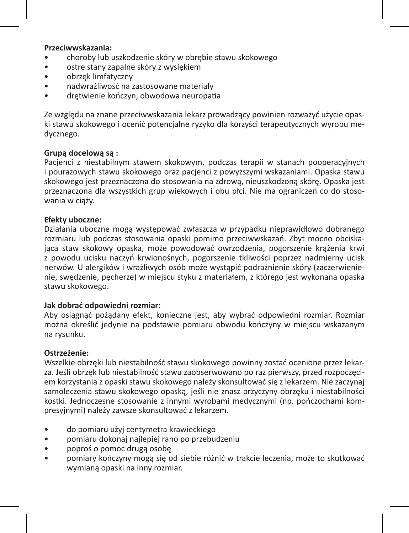#### **Przeciwwskazania:**

- choroby lub uszkodzenie skóry w obrębie stawu skokowego
- ostre stany zapalne skóry z wysiękiem
- obrzęk limfatyczny
- nadwrażliwość na zastosowane materiały
- drętwienie kończyn, obwodowa neuropatia

Ze względu na znane przeciwwskazania lekarz prowadzący powinien rozważyć użycie opaski stawu skokowego i ocenić potencjalne ryzyko dla korzyści terapeutycznych wyrobu medycznego.

#### **Grupą docelową są :**

Pacjenci z niestabilnym stawem skokowym, podczas terapii w stanach pooperacyjnych i pourazowych stawu skokowego oraz pacjenci z powyższymi wskazaniami. Opaska stawu skokowego jest przeznaczona do stosowania na zdrową, nieuszkodzoną skórę. Opaska jest przeznaczona dla wszystkich grup wiekowych i obu płci. Nie ma ograniczeń co do stosowania w ciąży.

#### **Efekty uboczne:**

Działania uboczne mogą występować zwłaszcza w przypadku nieprawidłowo dobranego rozmiaru lub podczas stosowania opaski pomimo przeciwwskazań. Zbyt mocno obciskająca staw skokowy opaska, może powodować owrzodzenia, pogorszenie krążenia krwi z powodu ucisku naczyń krwionośnych, pogorszenie tkliwości poprzez nadmierny ucisk nerwów. U alergików i wrażliwych osób może wystąpić podrażnienie skóry (zaczerwienienie, swędzenie, pęcherze) w miejscu styku z materiałem, z którego jest wykonana opaska stawu skokowego.

#### **Jak dobrać odpowiedni rozmiar:**

Aby osiągnąć pożądany efekt, konieczne jest, aby wybrać odpowiedni rozmiar. Rozmiar można określić jedynie na podstawie pomiaru obwodu kończyny w miejscu wskazanym na rysunku.

#### **Ostrzeżenie:**

Wszelkie obrzęki lub niestabilność stawu skokowego powinny zostać ocenione przez lekarza. Jeśli obrzęk lub niestabilność stawu zaobserwowano po raz pierwszy, przed rozpoczęciem korzystania z opaski stawu skokowego należy skonsultować się z lekarzem. Nie zaczynaj samoleczenia stawu skokowego opaską, jeśli nie znasz przyczyny obrzęku i niestabilności kostki. Jednoczesne stosowanie z innymi wyrobami medycznymi (np. pończochami kompresyjnymi) należy zawsze skonsultować z lekarzem.

- do pomiaru użyj centymetra krawieckiego
- pomiaru dokonaj najlepiej rano po przebudzeniu
- poproś o pomoc drugą osobę
- pomiary kończyny mogą się od siebie różnić w trakcie leczenia, może to skutkować wymianą opaski na inny rozmiar.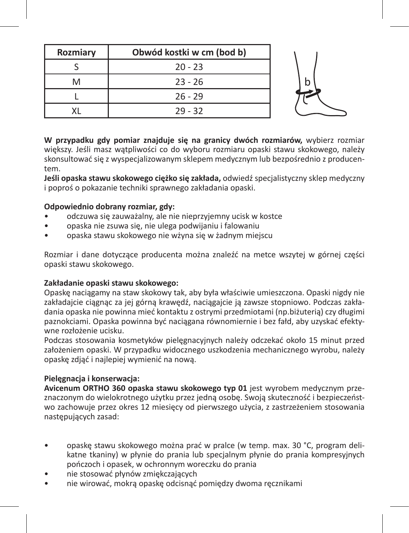| Rozmiary | Obwód kostki w cm (bod b) |
|----------|---------------------------|
|          | $20 - 23$                 |
|          | $23 - 26$                 |
|          | $26 - 29$                 |
|          | $29 - 32$                 |

**W przypadku gdy pomiar znajduje się na granicy dwóch rozmiarów,** wybierz rozmiar większy. Jeśli masz wątpliwości co do wyboru rozmiaru opaski stawu skokowego, należy skonsultować się z wyspecjalizowanym sklepem medycznym lub bezpośrednio z producentem.

**Jeśli opaska stawu skokowego ciężko się zakłada,** odwiedź specjalistyczny sklep medyczny i poproś o pokazanie techniki sprawnego zakładania opaski.

## **Odpowiednio dobrany rozmiar, gdy:**

- odczuwa się zauważalny, ale nie nieprzyjemny ucisk w kostce
- opaska nie zsuwa się, nie ulega podwijaniu i falowaniu
- opaska stawu skokowego nie wżyna się w żadnym miejscu

Rozmiar i dane dotyczące producenta można znaleźć na metce wszytej w górnej części opaski stawu skokowego.

#### **Zakładanie opaski stawu skokowego:**

Opaskę naciągamy na staw skokowy tak, aby była właściwie umieszczona. Opaski nigdy nie zakładajcie ciągnąc za jej górną krawędź, naciągajcie ją zawsze stopniowo. Podczas zakładania opaska nie powinna mieć kontaktu z ostrymi przedmiotami (np.biżuterią) czy długimi paznokciami. Opaska powinna być naciągana równomiernie i bez fałd, aby uzyskać efektywne rozłożenie ucisku.

Podczas stosowania kosmetyków pielęgnacyjnych należy odczekać około 15 minut przed założeniem opaski. W przypadku widocznego uszkodzenia mechanicznego wyrobu, należy opaskę zdjąć i najlepiej wymienić na nową.

## **Pielęgnacja i konserwacja:**

**Avicenum ORTHO 360 opaska stawu skokowego typ 01** jest wyrobem medycznym przeznaczonym do wielokrotnego użytku przez jedną osobę. Swoją skuteczność i bezpieczeństwo zachowuje przez okres 12 miesięcy od pierwszego użycia, z zastrzeżeniem stosowania następujących zasad:

- opaskę stawu skokowego można prać w pralce (w temp. max. 30 °C, program delikatne tkaniny) w płynie do prania lub specjalnym płynie do prania kompresyjnych pończoch i opasek, w ochronnym woreczku do prania
- nie stosować płynów zmiękczających
- nie wirować, mokrą opaskę odcisnąć pomiędzy dwoma ręcznikami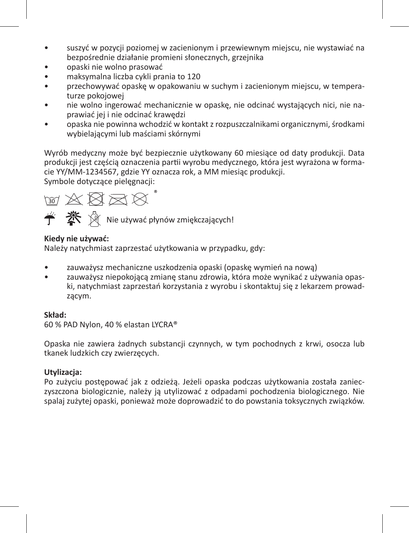- suszyć w pozycji poziomej w zacienionym i przewiewnym miejscu, nie wystawiać na bezpośrednie działanie promieni słonecznych, grzejnika
- opaski nie wolno prasować
- maksymalna liczba cykli prania to 120
- przechowywać opaskę w opakowaniu w suchym i zacienionym miejscu, w temperaturze pokojowej
- nie wolno ingerować mechanicznie w opaskę, nie odcinać wystających nici, nie naprawiać jej i nie odcinać krawędzi
- opaska nie powinna wchodzić w kontakt z rozpuszczalnikami organicznymi, środkami wybielającymi lub maściami skórnymi

Wyrób medyczny może być bezpiecznie użytkowany 60 miesiące od daty produkcji. Data produkcji jest częścią oznaczenia partii wyrobu medycznego, która jest wyrażona w formacie YY/MM-1234567, gdzie YY oznacza rok, a MM miesiąc produkcji.

Symbole dotyczące pielęgnacji:



 $\mathbb{X} \, \mathbb{\hat{N}}$  Nie używać płynów zmiękczających!

## **Kiedy nie używać:**

Należy natychmiast zaprzestać użytkowania w przypadku, gdy:

- zauważysz mechaniczne uszkodzenia opaski (opaskę wymień na nową)
- zauważysz niepokojącą zmianę stanu zdrowia, która może wynikać z używania opaski, natychmiast zaprzestań korzystania z wyrobu i skontaktuj się z lekarzem prowadzącym.

## **Skład:**

60 % PAD Nylon, 40 % elastan LYCRA®

Opaska nie zawiera żadnych substancji czynnych, w tym pochodnych z krwi, osocza lub tkanek ludzkich czy zwierzęcych.

## **Utylizacja:**

Po zużyciu postępować jak z odzieżą. Jeżeli opaska podczas użytkowania została zanieczyszczona biologicznie, należy ją utylizować z odpadami pochodzenia biologicznego. Nie spalaj zużytej opaski, ponieważ może doprowadzić to do powstania toksycznych związków.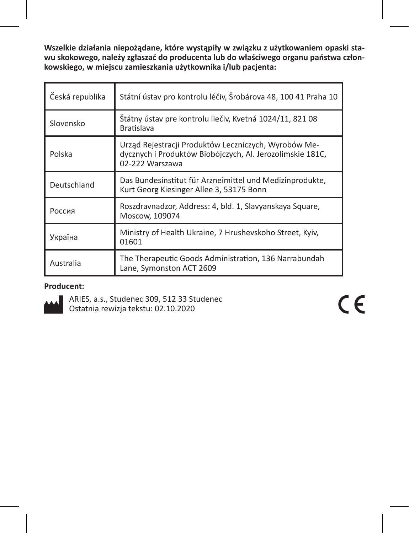**Wszelkie działania niepożądane, które wystąpiły w związku z użytkowaniem opaski stawu skokowego, należy zgłaszać do producenta lub do właściwego organu państwa członkowskiego, w miejscu zamieszkania użytkownika i/lub pacjenta:**

| Česká republika | Státní ústav pro kontrolu léčiv, Šrobárova 48, 100 41 Praha 10                                                                       |
|-----------------|--------------------------------------------------------------------------------------------------------------------------------------|
| Slovensko       | Štátny ústav pre kontrolu liečiv, Kvetná 1024/11, 821 08<br><b>Bratislava</b>                                                        |
| Polska          | Urząd Rejestracji Produktów Leczniczych, Wyrobów Me-<br>dycznych i Produktów Biobójczych, Al. Jerozolimskie 181C,<br>02-222 Warszawa |
| Deutschland     | Das Bundesinstitut für Arzneimittel und Medizinprodukte,<br>Kurt Georg Kiesinger Allee 3, 53175 Bonn                                 |
| Россия          | Roszdravnadzor, Address: 4, bld. 1, Slavyanskaya Square,<br>Moscow, 109074                                                           |
| Україна         | Ministry of Health Ukraine, 7 Hrushevskoho Street, Kyiv,<br>01601                                                                    |
| Australia       | The Therapeutic Goods Administration, 136 Narrabundah<br>Lane, Symonston ACT 2609                                                    |

## **Producent:**



ARIES, a.s., Studenec 309, 512 33 Studenec Ostatnia rewizja tekstu: 02.10.2020

 $\epsilon$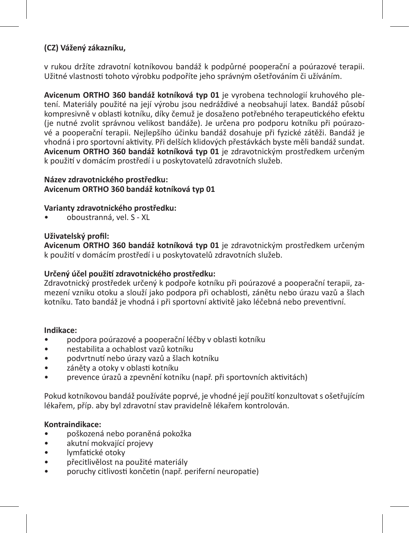## **(CZ) Vážený zákazníku,**

v rukou držíte zdravotní kotníkovou bandáž k podpůrné pooperační a poúrazové terapii. Užitné vlastnosti tohoto výrobku podpoříte jeho správným ošetřováním či užíváním.

**Avicenum ORTHO 360 bandáž kotníková typ 01** je vyrobena technologií kruhového pletení. Materiály použité na její výrobu jsou nedráždivé a neobsahují latex. Bandáž působí kompresivně v oblasti kotníku, díky čemuž je dosaženo potřebného terapeutického efektu (je nutné zvolit správnou velikost bandáže). Je určena pro podporu kotníku při poúrazové a pooperační terapii. Nejlepšího účinku bandáž dosahuje při fyzické zátěži. Bandáž je vhodná i pro sportovní aktivity. Při delších klidových přestávkách byste měli bandáž sundat. **Avicenum ORTHO 360 bandáž kotníková typ 01** je zdravotnickým prostředkem určeným k použití v domácím prostředí i u poskytovatelů zdravotních služeb.

### **Název zdravotnického prostředku: Avicenum ORTHO 360 bandáž kotníková typ 01**

## **Varianty zdravotnického prostředku:**

• oboustranná, vel. S - XL

#### **Uživatelský profil:**

**Avicenum ORTHO 360 bandáž kotníková typ 01** je zdravotnickým prostředkem určeným k použití v domácím prostředí i u poskytovatelů zdravotních služeb.

## **Určený účel použití zdravotnického prostředku:**

Zdravotnický prostředek určený k podpoře kotníku při poúrazové a pooperační terapii, zamezení vzniku otoku a slouží jako podpora při ochablosti, zánětu nebo úrazu vazů a šlach kotníku. Tato bandáž je vhodná i při sportovní aktivitě jako léčebná nebo preventivní.

#### **Indikace:**

- podpora poúrazové a pooperační léčby v oblasti kotníku
- nestabilita a ochablost vazů kotníku
- podvrtnutí nebo úrazy vazů a šlach kotníku
- záněty a otoky v oblasti kotníku
- prevence úrazů a zpevnění kotníku (např. při sportovních aktivitách)

Pokud kotníkovou bandáž používáte poprvé, je vhodné její použití konzultovat s ošetřujícím lékařem, příp. aby byl zdravotní stav pravidelně lékařem kontrolován.

#### **Kontraindikace:**

- poškozená nebo poraněná pokožka
- akutní mokvající projevy
- lymfatické otoky
- přecitlivělost na použité materiály
- poruchy citlivosti končetin (např. periferní neuropatie)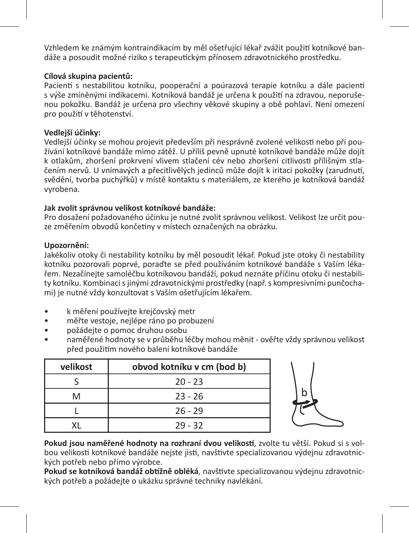Vzhledem ke známým kontraindikacím by měl ošetřující lékař zvážit použití kotníkové bandáže a posoudit možné riziko s terapeutickým přínosem zdravotnického prostředku.

## **Cílová skupina pacientů:**

Pacienti s nestabilitou kotníku, pooperační a poúrazová terapie kotníku a dále pacienti s výše zmíněnými indikacemi. Kotníková bandáž je určena k použití na zdravou, neporušenou pokožku. Bandáž je určena pro všechny věkové skupiny a obě pohlaví. Není omezení pro použití v těhotenství.

### **Vedlejší účinky:**

Vedlejší účinky se mohou projevit především při nesprávně zvolené velikosti nebo při používání kotníkové bandáže mimo zátěž. U příliš pevně upnuté kotníkové bandáže může dojít k otlakům, zhoršení prokrvení vlivem stlačení cév nebo zhoršení citlivosti přílišným stlačením nervů. U vnímavých a přecitlivělých jedinců může dojít k iritaci pokožky (zarudnutí, svědění, tvorba puchýřků) v místě kontaktu s materiálem, ze kterého je kotníková bandáž vyrobena.

## **Jak zvolit správnou velikost kotníkové bandáže:**

Pro dosažení požadovaného účinku je nutné zvolit správnou velikost. Velikost lze určit pouze změřením obvodů končetiny v místech označených na obrázku.

## **Upozornění:**

Jakékoliv otoky či nestability kotníku by měl posoudit lékař. Pokud jste otoky či nestability kotníku pozorovali poprvé, poraďte se před používáním kotníkové bandáže s Vaším lékařem. Nezačínejte samoléčbu kotníkovou bandáží, pokud neznáte příčinu otoku či nestability kotníku. Kombinaci s jinými zdravotnickými prostředky (např. s kompresivními punčochami) je nutné vždy konzultovat s Vaším ošetřujícím lékařem.

- k měření používejte krejčovský metr
- měřte vestoje, nejlépe ráno po probuzení
- požádejte o pomoc druhou osobu
- naměřené hodnoty se v průběhu léčby mohou měnit ověřte vždy správnou velikost před použitím nového balení kotníkové bandáže

| velikost | obvod kotníku v cm (bod b) |
|----------|----------------------------|
|          | $20 - 23$                  |
| M        | $23 - 26$                  |
|          | $26 - 29$                  |
|          | $29 - 32$                  |



**Pokud jsou naměřené hodnoty na rozhraní dvou velikostí**, zvolte tu větší. Pokud si s volbou velikosti kotníkové bandáže nejste jisti, navštivte specializovanou výdejnu zdravotnických potřeb nebo přímo výrobce.

**Pokud se kotníková bandáž obtížně obléká**, navštivte specializovanou výdejnu zdravotnických potřeb a požádejte o ukázku správné techniky navlékání.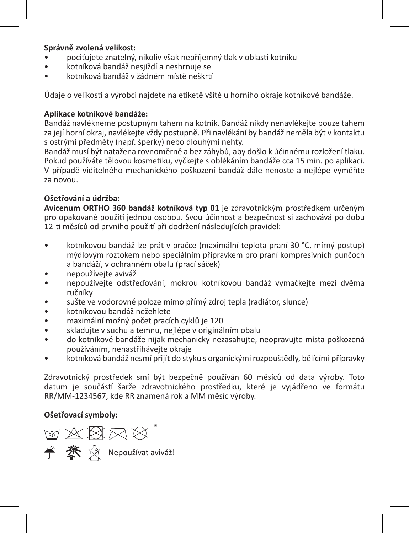## **Správně zvolená velikost:**

- pociťujete znatelný, nikoliv však nepříjemný tlak v oblasti kotníku
- kotníková bandáž nesjíždí a neshrnuje se
- kotníková bandáž v žádném místě neškrtí

Údaje o velikosti a výrobci najdete na etiketě všité u horního okraje kotníkové bandáže.

## **Aplikace kotníkové bandáže:**

Bandáž navlékneme postupným tahem na kotník. Bandáž nikdy nenavlékejte pouze tahem za její horní okraj, navlékejte vždy postupně. Při navlékání by bandáž neměla být v kontaktu s ostrými předměty (např. šperky) nebo dlouhými nehty.

Bandáž musí být natažena rovnoměrně a bez záhybů, aby došlo k účinnému rozložení tlaku. Pokud používáte tělovou kosmetiku, vyčkejte s oblékáním bandáže cca 15 min. po aplikaci. V případě viditelného mechanického poškození bandáž dále nenoste a nejlépe vyměňte za novou.

## **Ošetřování a údržba:**

**Avicenum ORTHO 360 bandáž kotníková typ 01** je zdravotnickým prostředkem určeným pro opakované použití jednou osobou. Svou účinnost a bezpečnost si zachovává po dobu 12-ti měsíců od prvního použití při dodržení následujících pravidel:

- kotníkovou bandáž lze prát v pračce (maximální teplota praní 30 °C, mírný postup) mýdlovým roztokem nebo speciálním přípravkem pro praní kompresivních punčoch a bandáží, v ochranném obalu (prací sáček)
- nepoužívejte aviváž
- nepoužívejte odstřeďování, mokrou kotníkovou bandáž vymačkejte mezi dvěma ručníky
- sušte ve vodorovné poloze mimo přímý zdroj tepla (radiátor, slunce)
- kotníkovou bandáž nežehlete
- maximální možný počet pracích cyklů je 120
- skladujte v suchu a temnu, nejlépe v originálním obalu
- do kotníkové bandáže nijak mechanicky nezasahujte, neopravujte místa poškozená používáním, nenastřihávejte okraje
- kotníková bandáž nesmí přijít do styku s organickými rozpouštědly, bělícími přípravky

Zdravotnický prostředek smí být bezpečně používán 60 měsíců od data výroby. Toto datum je součástí šarže zdravotnického prostředku, které je vyjádřeno ve formátu RR/MM-1234567, kde RR znamená rok a MM měsíc výroby.

## **Ošetřovací symboly:**

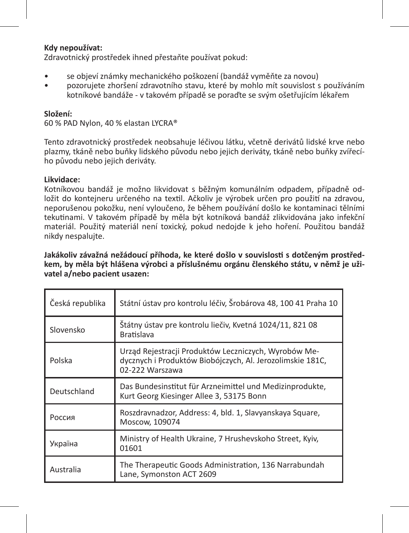#### **Kdy nepoužívat:**

Zdravotnický prostředek ihned přestaňte používat pokud:

- se objeví známky mechanického poškození (bandáž vyměňte za novou)<br>• pozorujete zboršení zdravotního stavu, které by moblo mít souvislost s
- pozorujete zhoršení zdravotního stavu, které by mohlo mít souvislost s používáním kotníkové bandáže - v takovém případě se poraďte se svým ošetřujícím lékařem

#### **Složení:**

60 % PAD Nylon, 40 % elastan LYCRA®

Tento zdravotnický prostředek neobsahuje léčivou látku, včetně derivátů lidské krve nebo plazmy, tkáně nebo buňky lidského původu nebo jejich deriváty, tkáně nebo buňky zvířecího původu nebo jejich deriváty.

#### **Likvidace:**

Kotníkovou bandáž je možno likvidovat s běžným komunálním odpadem, případně odložit do kontejneru určeného na textil. Ačkoliv je výrobek určen pro použití na zdravou, neporušenou pokožku, není vyloučeno, že během používání došlo ke kontaminaci tělními tekutinami. V takovém případě by měla být kotníková bandáž zlikvidována jako infekční materiál. Použitý materiál není toxický, pokud nedojde k jeho hoření. Použitou bandáž nikdy nespalujte.

**Jakákoliv závažná nežádoucí příhoda, ke které došlo v souvislosti s dotčeným prostředkem, by měla být hlášena výrobci a příslušnému orgánu členského státu, v němž je uživatel a/nebo pacient usazen:** 

| Česká republika | Státní ústav pro kontrolu léčiv, Šrobárova 48, 100 41 Praha 10                                                                       |
|-----------------|--------------------------------------------------------------------------------------------------------------------------------------|
| Slovensko       | Štátny ústav pre kontrolu liečiv, Kvetná 1024/11, 821 08<br><b>Bratislava</b>                                                        |
| Polska          | Urząd Rejestracji Produktów Leczniczych, Wyrobów Me-<br>dycznych i Produktów Biobójczych, Al. Jerozolimskie 181C,<br>02-222 Warszawa |
| Deutschland     | Das Bundesinstitut für Arzneimittel und Medizinprodukte,<br>Kurt Georg Kiesinger Allee 3, 53175 Bonn                                 |
| Россия          | Roszdravnadzor, Address: 4, bld. 1, Slavyanskaya Square,<br>Moscow, 109074                                                           |
| Україна         | Ministry of Health Ukraine, 7 Hrushevskoho Street, Kyiv,<br>01601                                                                    |
| Australia       | The Therapeutic Goods Administration, 136 Narrabundah<br>Lane, Symonston ACT 2609                                                    |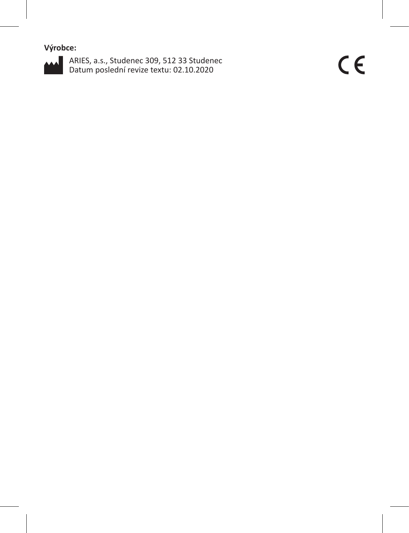**Výrobce:**



ARIES, a.s., Studenec 309, 512 33 Studenec Datum poslední revize textu: 02.10.2020

 $C \in$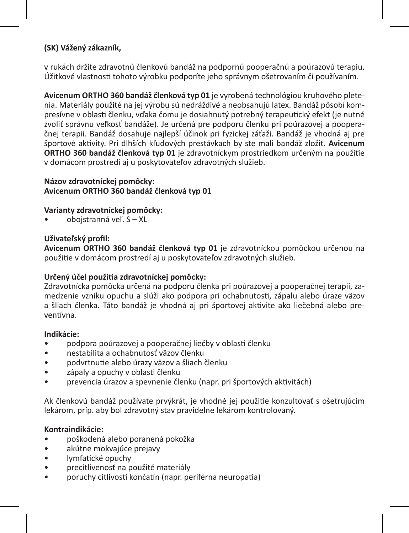## **(SK) Vážený zákazník,**

v rukách držíte zdravotnú členkovú bandáž na podpornú pooperačnú a poúrazovú terapiu. Úžitkové vlastnosti tohoto výrobku podporíte jeho správnym ošetrovaním či používaním.

**Avicenum ORTHO 360 bandáž členková typ 01** je vyrobená technológiou kruhového pletenia. Materiály použité na jej výrobu sú nedráždivé a neobsahujú latex. Bandáž pôsobí kompresívne v oblasti členku, vďaka čomu je dosiahnutý potrebný terapeutický efekt (je nutné zvoliť správnu veľkosť bandáže). Je určená pre podporu členku pri poúrazovej a pooperačnej terapii. Bandáž dosahuje najlepší účinok pri fyzickej záťaži. Bandáž je vhodná aj pre športové aktivity. Pri dlhších kľudových prestávkach by ste mali bandáž zložiť. **Avicenum ORTHO 360 bandáž členková typ 01** je zdravotníckym prostriedkom určeným na použitie v domácom prostredí aj u poskytovateľov zdravotných služieb.

## **Názov zdravotníckej pomôcky: Avicenum ORTHO 360 bandáž členková typ 01**

## **Varianty zdravotníckej pomôcky:**

• obojstranná veľ. S – XL

## **Uživateľský profil:**

**Avicenum ORTHO 360 bandáž členková typ 01** je zdravotníckou pomôckou určenou na použitie v domácom prostredí aj u poskytovateľov zdravotných služieb.

## **Určený účel použitia zdravotníckej pomôcky:**

Zdravotnícka pomôcka určená na podporu členka pri poúrazovej a pooperačnej terapii, zamedzenie vzniku opuchu a slúži ako podpora pri ochabnutosti, zápalu alebo úraze väzov a šliach členka. Táto bandáž je vhodná aj pri športovej aktivite ako liečebná alebo preventívna.

## **Indikácie:**

- podpora poúrazovej a pooperačnej liečby v oblasti členku
- nestabilita a ochabnutosť väzov členku
- podvrtnutie alebo úrazy väzov a šliach členku
- zápaly a opuchy v oblasti členku
- prevencia úrazov a spevnenie členku (napr. pri športových aktivitách)

Ak členkovú bandáž používate prvýkrát, je vhodné jej použitie konzultovať s ošetrujúcim lekárom, príp. aby bol zdravotný stav pravidelne lekárom kontrolovaný.

## **Kontraindikácie:**

- poškodená alebo poranená pokožka
- akútne mokvajúce prejavy
- lymfatické opuchy
- precitlivenosť na použité materiály
- poruchy citlivosti končatín (napr. periférna neuropatia)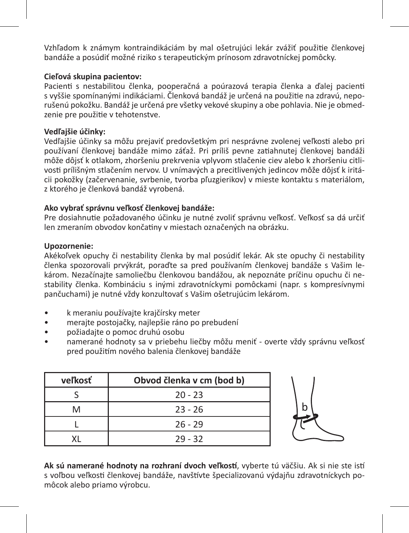Vzhľadom k známym kontraindikáciám by mal ošetrujúci lekár zvážiť použitie členkovej bandáže a posúdiť možné riziko s terapeutickým prínosom zdravotníckej pomôcky.

## **Cieľová skupina pacientov:**

Pacienti s nestabilitou členka, pooperačná a poúrazová terapia členka a ďalej pacienti s vyššie spomínanými indikáciami. Členková bandáž je určená na použitie na zdravú, neporušenú pokožku. Bandáž je určená pre všetky vekové skupiny a obe pohlavia. Nie je obmedzenie pre použitie v tehotenstve.

## **Vedľajšie účinky:**

Vedľajšie účinky sa môžu prejaviť predovšetkým pri nesprávne zvolenej veľkosti alebo pri používaní členkovej bandáže mimo záťaž. Pri príliš pevne zatiahnutej členkovej bandáži môže dôjsť k otlakom, zhoršeniu prekrvenia vplyvom stlačenie ciev alebo k zhoršeniu citlivosti prílišným stlačením nervov. U vnímavých a precitlivených jedincov môže dôjsť k iritácii pokožky (začervenanie, svrbenie, tvorba pľuzgierikov) v mieste kontaktu s materiálom, z ktorého je členková bandáž vyrobená.

## **Ako vybrať správnu veľkosť členkovej bandáže:**

Pre dosiahnutie požadovaného účinku je nutné zvoliť správnu veľkosť. Veľkosť sa dá určiť len zmeraním obvodov končatiny v miestach označených na obrázku.

#### **Upozornenie:**

Akékoľvek opuchy či nestability členka by mal posúdiť lekár. Ak ste opuchy či nestability členka spozorovali prvýkrát, poraďte sa pred používaním členkovej bandáže s Vašim lekárom. Nezačínajte samoliečbu členkovou bandážou, ak nepoznáte príčinu opuchu či nestability členka. Kombináciu s inými zdravotníckymi pomôckami (napr. s kompresívnymi pančuchami) je nutné vždy konzultovať s Vašim ošetrujúcim lekárom.

- k meraniu používajte krajčírsky meter
- merajte postojačky, najlepšie ráno po prebudení
- požiadajte o pomoc druhú osobu
- namerané hodnoty sa v priebehu liečby môžu meniť overte vždy správnu veľkosť pred použitím nového balenia členkovej bandáže

| veľkosť | Obvod členka v cm (bod b) |
|---------|---------------------------|
|         | $20 - 23$                 |
| м       | $23 - 26$                 |
|         | $26 - 29$                 |
|         | $29 - 32$                 |



**Ak sú namerané hodnoty na rozhraní dvoch veľkostí**, vyberte tú väčšiu. Ak si nie ste istí s voľbou veľkosti členkovej bandáže, navštívte špecializovanú výdajňu zdravotníckych pomôcok alebo priamo výrobcu.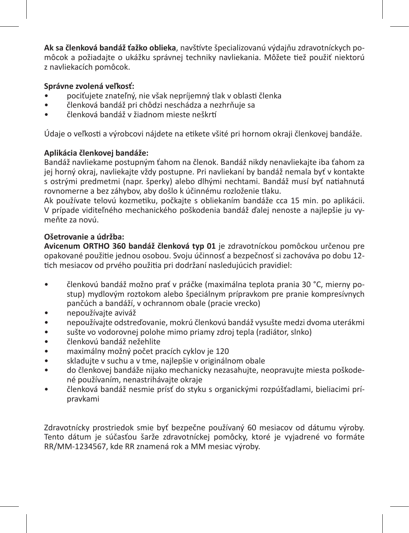**Ak sa členková bandáž ťažko oblieka**, navštívte špecializovanú výdajňu zdravotníckych pomôcok a požiadajte o ukážku správnej techniky navliekania. Môžete tiež použiť niektorú z navliekacích pomôcok.

## **Správne zvolená veľkosť:**

- pociťujete znateľný, nie však nepríjemný tlak v oblasti členka
- členková bandáž pri chôdzi neschádza a nezhrňuje sa
- členková bandáž v žiadnom mieste neškrtí

Údaje o veľkosti a výrobcovi nájdete na etikete všité pri hornom okraji členkovej bandáže.

## **Aplikácia členkovej bandáže:**

Bandáž navliekame postupným ťahom na členok. Bandáž nikdy nenavliekajte iba ťahom za jej horný okraj, navliekajte vždy postupne. Pri navliekaní by bandáž nemala byť v kontakte s ostrými predmetmi (napr. šperky) alebo dlhými nechtami. Bandáž musí byť natiahnutá rovnomerne a bez záhybov, aby došlo k účinnému rozloženie tlaku.

Ak používate telovú kozmetiku, počkajte s obliekaním bandáže cca 15 min. po aplikácii. V prípade viditeľného mechanického poškodenia bandáž ďalej nenoste a najlepšie ju vymeňte za novú.

## **Ošetrovanie a údržba:**

**Avicenum ORTHO 360 bandáž členková typ 01** je zdravotníckou pomôckou určenou pre opakované použitie jednou osobou. Svoju účinnosť a bezpečnosť si zachováva po dobu 12 tich mesiacov od prvého použitia pri dodržaní nasledujúcich pravidiel:

- členkovú bandáž možno prať v práčke (maximálna teplota prania 30 °C, mierny postup) mydlovým roztokom alebo špeciálnym prípravkom pre pranie kompresívnych pančúch a bandáží, v ochrannom obale (pracie vrecko)
- nepoužívajte aviváž
- nepoužívajte odstreďovanie, mokrú členkovú bandáž vysušte medzi dvoma uterákmi
- sušte vo vodorovnej polohe mimo priamy zdroj tepla (radiátor, slnko)<br>• členkovú bandáž nežehlite
- členkovú bandáž nežehlite
- maximálny možný počet pracích cyklov je 120
- skladujte v suchu a v tme, najlepšie v originálnom obale<br>• do člankovej bandáže nijako mechanicky nezasahujte, ne
- do členkovej bandáže nijako mechanicky nezasahujte, neopravujte miesta poškodené používaním, nenastrihávajte okraje
- členková bandáž nesmie prísť do styku s organickými rozpúšťadlami, bieliacimi prípravkami

Zdravotnícky prostriedok smie byť bezpečne používaný 60 mesiacov od dátumu výroby. Tento dátum je súčasťou šarže zdravotníckej pomôcky, ktoré je vyjadrené vo formáte RR/MM-1234567, kde RR znamená rok a MM mesiac výroby.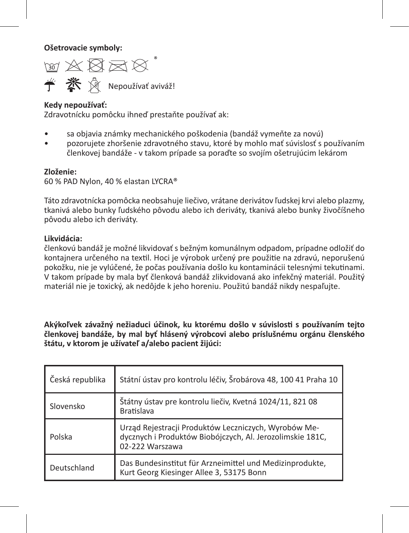**Ošetrovacie symboly:** 

™☆☆☆☆ **学 茶** & Nepoužívať aviváž!

### **Kedy nepoužívať:**

Zdravotnícku pomôcku ihneď prestaňte používať ak:

- sa objavia známky mechanického poškodenia (bandáž vymeňte za novú)
- pozorujete zhoršenie zdravotného stavu, ktoré by mohlo mať súvislosť s používaním členkovej bandáže - v takom prípade sa poraďte so svojím ošetrujúcim lekárom

#### **Zloženie:**

60 % PAD Nylon, 40 % elastan LYCRA®

Táto zdravotnícka pomôcka neobsahuje liečivo, vrátane derivátov ľudskej krvi alebo plazmy, tkanivá alebo bunky ľudského pôvodu alebo ich deriváty, tkanivá alebo bunky živočíšneho pôvodu alebo ich deriváty.

## **Likvidácia:**

členkovú bandáž je možné likvidovať s bežným komunálnym odpadom, prípadne odložiť do kontajnera určeného na textil. Hoci je výrobok určený pre použitie na zdravú, neporušenú pokožku, nie je vylúčené, že počas používania došlo ku kontaminácii telesnými tekutinami. V takom prípade by mala byť členková bandáž zlikvidovaná ako infekčný materiál. Použitý materiál nie je toxický, ak nedôjde k jeho horeniu. Použitú bandáž nikdy nespaľujte.

**Akýkoľvek závažný nežiaduci účinok, ku ktorému došlo v súvislosti s používaním tejto členkovej bandáže, by mal byť hlásený výrobcovi alebo príslušnému orgánu členského štátu, v ktorom je užívateľ a/alebo pacient žijúci:**

| Česká republika | Státní ústav pro kontrolu léčiv, Šrobárova 48, 100 41 Praha 10                                                                       |
|-----------------|--------------------------------------------------------------------------------------------------------------------------------------|
| Slovensko       | Štátny ústav pre kontrolu liečiv, Kvetná 1024/11, 821 08<br><b>Bratislava</b>                                                        |
| Polska          | Urząd Rejestracji Produktów Leczniczych, Wyrobów Me-<br>dycznych i Produktów Biobójczych, Al. Jerozolimskie 181C,<br>02-222 Warszawa |
| Deutschland     | Das Bundesinstitut für Arzneimittel und Medizinprodukte,<br>Kurt Georg Kiesinger Allee 3, 53175 Bonn                                 |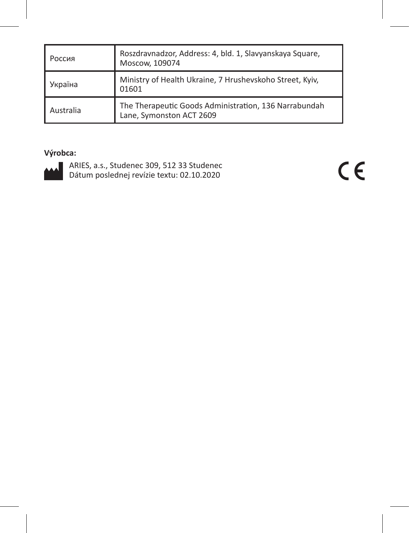| I Россия  | Roszdravnadzor, Address: 4, bld. 1, Slavyanskaya Square,<br>Moscow, 109074        |
|-----------|-----------------------------------------------------------------------------------|
| Україна   | Ministry of Health Ukraine, 7 Hrushevskoho Street, Kyiv,<br>01601                 |
| Australia | The Therapeutic Goods Administration, 136 Narrabundah<br>Lane, Symonston ACT 2609 |

## **Výrobca:**



ARIES, a.s., Studenec 309, 512 33 Studenec Dátum poslednej revízie textu: 02.10.2020

 $C \in$